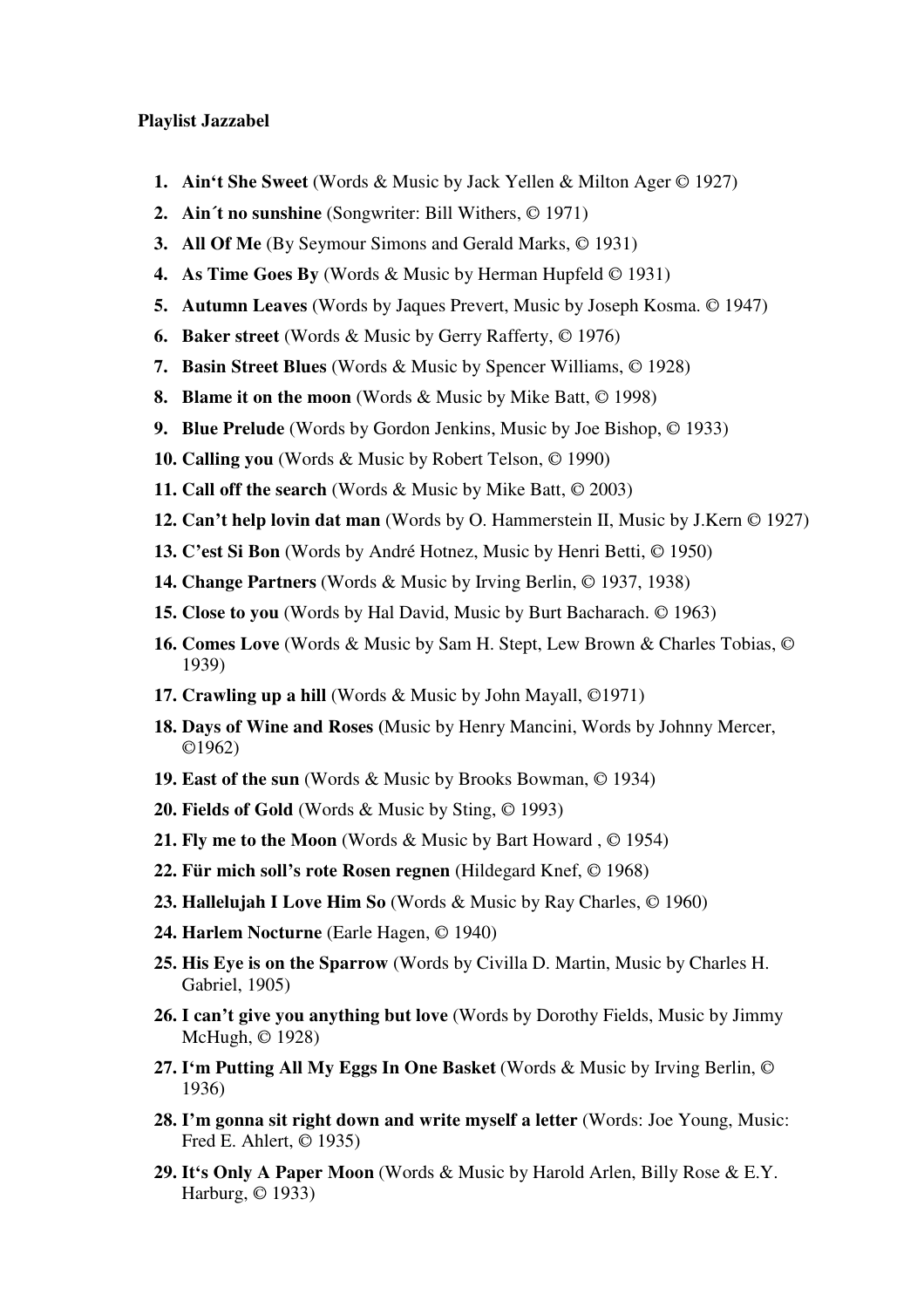## **Playlist Jazzabel**

- **1. Ain't She Sweet** (Words & Music by Jack Yellen & Milton Ager © 1927)
- **2. Ain´t no sunshine** (Songwriter: Bill Withers, © 1971)
- **3. All Of Me** (By Seymour Simons and Gerald Marks, © 1931)
- **4. As Time Goes By** (Words & Music by Herman Hupfeld © 1931)
- **5. Autumn Leaves** (Words by Jaques Prevert, Music by Joseph Kosma. © 1947)
- **6. Baker street** (Words & Music by Gerry Rafferty, © 1976)
- **7. Basin Street Blues** (Words & Music by Spencer Williams, © 1928)
- **8. Blame it on the moon** (Words & Music by Mike Batt, © 1998)
- **9. Blue Prelude** (Words by Gordon Jenkins, Music by Joe Bishop, © 1933)
- **10. Calling you** (Words & Music by Robert Telson, © 1990)
- **11. Call off the search** (Words & Music by Mike Batt, © 2003)
- **12. Can't help lovin dat man** (Words by O. Hammerstein II, Music by J.Kern © 1927)
- **13. C'est Si Bon** (Words by André Hotnez, Music by Henri Betti, © 1950)
- **14. Change Partners** (Words & Music by Irving Berlin, © 1937, 1938)
- **15. Close to you** (Words by Hal David, Music by Burt Bacharach. © 1963)
- **16. Comes Love** (Words & Music by Sam H. Stept, Lew Brown & Charles Tobias, © 1939)
- **17. Crawling up a hill** (Words & Music by John Mayall, ©1971)
- **18. Days of Wine and Roses (**Music by Henry Mancini, Words by Johnny Mercer, ©1962)
- **19. East of the sun** (Words & Music by Brooks Bowman, © 1934)
- **20. Fields of Gold** (Words & Music by Sting, © 1993)
- **21. Fly me to the Moon** (Words & Music by Bart Howard , © 1954)
- **22. Für mich soll's rote Rosen regnen** (Hildegard Knef, © 1968)
- **23. Hallelujah I Love Him So** (Words & Music by Ray Charles, © 1960)
- **24. Harlem Nocturne** (Earle Hagen, © 1940)
- **25. His Eye is on the Sparrow** (Words by Civilla D. Martin, Music by Charles H. Gabriel, 1905)
- **26. I can't give you anything but love** (Words by Dorothy Fields, Music by Jimmy McHugh, © 1928)
- **27. I'm Putting All My Eggs In One Basket** (Words & Music by Irving Berlin, © 1936)
- **28. I'm gonna sit right down and write myself a letter** (Words: Joe Young, Music: Fred E. Ahlert, © 1935)
- **29. It's Only A Paper Moon** (Words & Music by Harold Arlen, Billy Rose & E.Y. Harburg, © 1933)